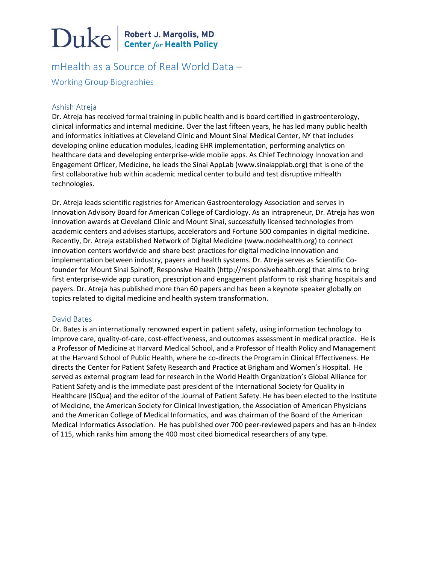# $\sum$ uke  $\left| \frac{\text{Robert J. Margolis, MD}}{\text{Center for Health Policy}} \right|$

mHealth as a Source of Real World Data – Working Group Biographies

# Ashish Atreja

Dr. Atreja has received formal training in public health and is board certified in gastroenterology, clinical informatics and internal medicine. Over the last fifteen years, he has led many public health and informatics initiatives at Cleveland Clinic and Mount Sinai Medical Center, NY that includes developing online education modules, leading EHR implementation, performing analytics on healthcare data and developing enterprise-wide mobile apps. As Chief Technology Innovation and Engagement Officer, Medicine, he leads the Sinai AppLab (www.sinaiapplab.org) that is one of the first collaborative hub within academic medical center to build and test disruptive mHealth technologies.

Dr. Atreja leads scientific registries for American Gastroenterology Association and serves in Innovation Advisory Board for American College of Cardiology. As an intrapreneur, Dr. Atreja has won innovation awards at Cleveland Clinic and Mount Sinai, successfully licensed technologies from academic centers and advises startups, accelerators and Fortune 500 companies in digital medicine. Recently, Dr. Atreja established Network of Digital Medicine (www.nodehealth.org) to connect innovation centers worldwide and share best practices for digital medicine innovation and implementation between industry, payers and health systems. Dr. Atreja serves as Scientific Cofounder for Mount Sinai Spinoff, Responsive Health (http://responsivehealth.org) that aims to bring first enterprise-wide app curation, prescription and engagement platform to risk sharing hospitals and payers. Dr. Atreja has published more than 60 papers and has been a keynote speaker globally on topics related to digital medicine and health system transformation.

## David Bates

Dr. Bates is an internationally renowned expert in patient safety, using information technology to improve care, quality-of-care, cost-effectiveness, and outcomes assessment in medical practice. He is a Professor of Medicine at Harvard Medical School, and a Professor of Health Policy and Management at the Harvard School of Public Health, where he co-directs the Program in Clinical Effectiveness. He directs the Center for Patient Safety Research and Practice at Brigham and Women's Hospital. He served as external program lead for research in the World Health Organization's Global Alliance for Patient Safety and is the immediate past president of the International Society for Quality in Healthcare (ISQua) and the editor of the Journal of Patient Safety. He has been elected to the Institute of Medicine, the American Society for Clinical Investigation, the Association of American Physicians and the American College of Medical Informatics, and was chairman of the Board of the American Medical Informatics Association. He has published over 700 peer-reviewed papers and has an h-index of 115, which ranks him among the 400 most cited biomedical researchers of any type.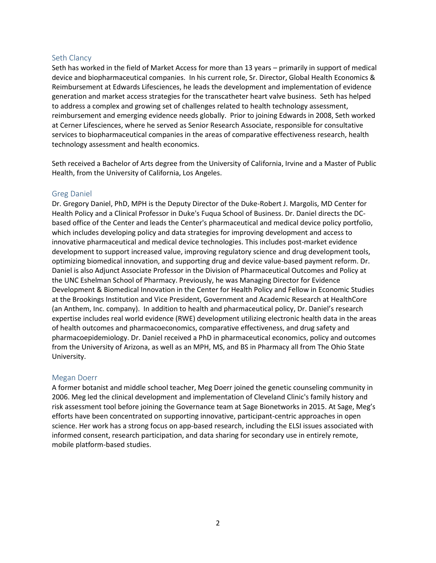## Seth Clancy

Seth has worked in the field of Market Access for more than 13 years – primarily in support of medical device and biopharmaceutical companies. In his current role, Sr. Director, Global Health Economics & Reimbursement at Edwards Lifesciences, he leads the development and implementation of evidence generation and market access strategies for the transcatheter heart valve business. Seth has helped to address a complex and growing set of challenges related to health technology assessment, reimbursement and emerging evidence needs globally. Prior to joining Edwards in 2008, Seth worked at Cerner Lifesciences, where he served as Senior Research Associate, responsible for consultative services to biopharmaceutical companies in the areas of comparative effectiveness research, health technology assessment and health economics.

Seth received a Bachelor of Arts degree from the University of California, Irvine and a Master of Public Health, from the University of California, Los Angeles.

## Greg Daniel

Dr. Gregory Daniel, PhD, MPH is the Deputy Director of the Duke-Robert J. Margolis, MD Center for Health Policy and a Clinical Professor in Duke's Fuqua School of Business. Dr. Daniel directs the DCbased office of the Center and leads the Center's pharmaceutical and medical device policy portfolio, which includes developing policy and data strategies for improving development and access to innovative pharmaceutical and medical device technologies. This includes post-market evidence development to support increased value, improving regulatory science and drug development tools, optimizing biomedical innovation, and supporting drug and device value-based payment reform. Dr. Daniel is also Adjunct Associate Professor in the Division of Pharmaceutical Outcomes and Policy at the UNC Eshelman School of Pharmacy. Previously, he was Managing Director for Evidence Development & Biomedical Innovation in the Center for Health Policy and Fellow in Economic Studies at the Brookings Institution and Vice President, Government and Academic Research at HealthCore (an Anthem, Inc. company). In addition to health and pharmaceutical policy, Dr. Daniel's research expertise includes real world evidence (RWE) development utilizing electronic health data in the areas of health outcomes and pharmacoeconomics, comparative effectiveness, and drug safety and pharmacoepidemiology. Dr. Daniel received a PhD in pharmaceutical economics, policy and outcomes from the University of Arizona, as well as an MPH, MS, and BS in Pharmacy all from The Ohio State University.

## Megan Doerr

A former botanist and middle school teacher, Meg Doerr joined the genetic counseling community in 2006. Meg led the clinical development and implementation of Cleveland Clinic's family history and risk assessment tool before joining the Governance team at Sage Bionetworks in 2015. At Sage, Meg's efforts have been concentrated on supporting innovative, participant-centric approaches in open science. Her work has a strong focus on app-based research, including the ELSI issues associated with informed consent, research participation, and data sharing for secondary use in entirely remote, mobile platform-based studies.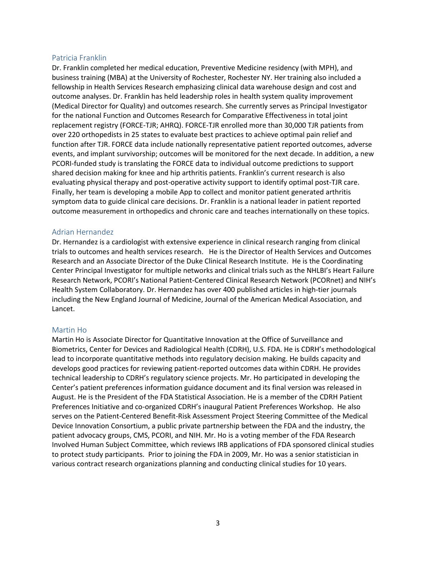### Patricia Franklin

Dr. Franklin completed her medical education, Preventive Medicine residency (with MPH), and business training (MBA) at the University of Rochester, Rochester NY. Her training also included a fellowship in Health Services Research emphasizing clinical data warehouse design and cost and outcome analyses. Dr. Franklin has held leadership roles in health system quality improvement (Medical Director for Quality) and outcomes research. She currently serves as Principal Investigator for the national Function and Outcomes Research for Comparative Effectiveness in total joint replacement registry (FORCE-TJR; AHRQ). FORCE-TJR enrolled more than 30,000 TJR patients from over 220 orthopedists in 25 states to evaluate best practices to achieve optimal pain relief and function after TJR. FORCE data include nationally representative patient reported outcomes, adverse events, and implant survivorship; outcomes will be monitored for the next decade. In addition, a new PCORI-funded study is translating the FORCE data to individual outcome predictions to support shared decision making for knee and hip arthritis patients. Franklin's current research is also evaluating physical therapy and post-operative activity support to identify optimal post-TJR care. Finally, her team is developing a mobile App to collect and monitor patient generated arthritis symptom data to guide clinical care decisions. Dr. Franklin is a national leader in patient reported outcome measurement in orthopedics and chronic care and teaches internationally on these topics.

### Adrian Hernandez

Dr. Hernandez is a cardiologist with extensive experience in clinical research ranging from clinical trials to outcomes and health services research. He is the Director of Health Services and Outcomes Research and an Associate Director of the Duke Clinical Research Institute. He is the Coordinating Center Principal Investigator for multiple networks and clinical trials such as the NHLBI's Heart Failure Research Network, PCORI's National Patient-Centered Clinical Research Network (PCORnet) and NIH's Health System Collaboratory. Dr. Hernandez has over 400 published articles in high-tier journals including the New England Journal of Medicine, Journal of the American Medical Association, and Lancet.

#### Martin Ho

Martin Ho is Associate Director for Quantitative Innovation at the Office of Surveillance and Biometrics, Center for Devices and Radiological Health (CDRH), U.S. FDA. He is CDRH's methodological lead to incorporate quantitative methods into regulatory decision making. He builds capacity and develops good practices for reviewing patient-reported outcomes data within CDRH. He provides technical leadership to CDRH's regulatory science projects. Mr. Ho participated in developing the Center's patient preferences information guidance document and its final version was released in August. He is the President of the FDA Statistical Association. He is a member of the CDRH Patient Preferences Initiative and co-organized CDRH's inaugural Patient Preferences Workshop. He also serves on the Patient-Centered Benefit-Risk Assessment Project Steering Committee of the Medical Device Innovation Consortium, a public private partnership between the FDA and the industry, the patient advocacy groups, CMS, PCORI, and NIH. Mr. Ho is a voting member of the FDA Research Involved Human Subject Committee, which reviews IRB applications of FDA sponsored clinical studies to protect study participants. Prior to joining the FDA in 2009, Mr. Ho was a senior statistician in various contract research organizations planning and conducting clinical studies for 10 years.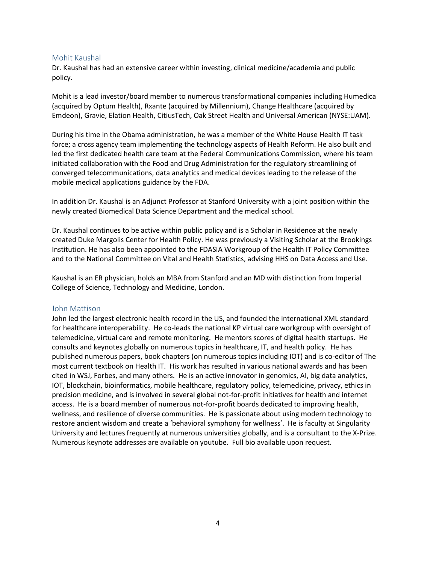## Mohit Kaushal

Dr. Kaushal has had an extensive career within investing, clinical medicine/academia and public policy.

Mohit is a lead investor/board member to numerous transformational companies including Humedica (acquired by Optum Health), Rxante (acquired by Millennium), Change Healthcare (acquired by Emdeon), Gravie, Elation Health, CitiusTech, Oak Street Health and Universal American (NYSE:UAM).

During his time in the Obama administration, he was a member of the White House Health IT task force; a cross agency team implementing the technology aspects of Health Reform. He also built and led the first dedicated health care team at the Federal Communications Commission, where his team initiated collaboration with the Food and Drug Administration for the regulatory streamlining of converged telecommunications, data analytics and medical devices leading to the release of the mobile medical applications guidance by the FDA.

In addition Dr. Kaushal is an Adjunct Professor at Stanford University with a joint position within the newly created Biomedical Data Science Department and the medical school.

Dr. Kaushal continues to be active within public policy and is a Scholar in Residence at the newly created Duke Margolis Center for Health Policy. He was previously a Visiting Scholar at the Brookings Institution. He has also been appointed to the FDASIA Workgroup of the Health IT Policy Committee and to the National Committee on Vital and Health Statistics, advising HHS on Data Access and Use.

Kaushal is an ER physician, holds an MBA from Stanford and an MD with distinction from Imperial College of Science, Technology and Medicine, London.

#### John Mattison

John led the largest electronic health record in the US, and founded the international XML standard for healthcare interoperability. He co-leads the national KP virtual care workgroup with oversight of telemedicine, virtual care and remote monitoring. He mentors scores of digital health startups. He consults and keynotes globally on numerous topics in healthcare, IT, and health policy. He has published numerous papers, book chapters (on numerous topics including IOT) and is co-editor of The most current textbook on Health IT. His work has resulted in various national awards and has been cited in WSJ, Forbes, and many others. He is an active innovator in genomics, AI, big data analytics, IOT, blockchain, bioinformatics, mobile healthcare, regulatory policy, telemedicine, privacy, ethics in precision medicine, and is involved in several global not-for-profit initiatives for health and internet access. He is a board member of numerous not-for-profit boards dedicated to improving health, wellness, and resilience of diverse communities. He is passionate about using modern technology to restore ancient wisdom and create a 'behavioral symphony for wellness'. He is faculty at Singularity University and lectures frequently at numerous universities globally, and is a consultant to the X-Prize. Numerous keynote addresses are available on youtube. Full bio available upon request.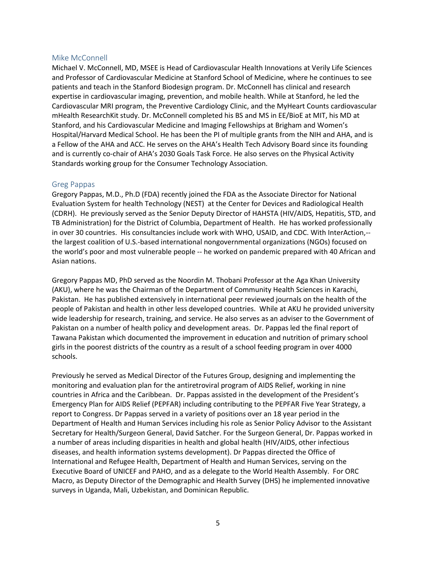### Mike McConnell

Michael V. McConnell, MD, MSEE is Head of Cardiovascular Health Innovations at Verily Life Sciences and Professor of Cardiovascular Medicine at Stanford School of Medicine, where he continues to see patients and teach in the Stanford Biodesign program. Dr. McConnell has clinical and research expertise in cardiovascular imaging, prevention, and mobile health. While at Stanford, he led the Cardiovascular MRI program, the Preventive Cardiology Clinic, and the MyHeart Counts cardiovascular mHealth ResearchKit study. Dr. McConnell completed his BS and MS in EE/BioE at MIT, his MD at Stanford, and his Cardiovascular Medicine and Imaging Fellowships at Brigham and Women's Hospital/Harvard Medical School. He has been the PI of multiple grants from the NIH and AHA, and is a Fellow of the AHA and ACC. He serves on the AHA's Health Tech Advisory Board since its founding and is currently co-chair of AHA's 2030 Goals Task Force. He also serves on the Physical Activity Standards working group for the Consumer Technology Association.

#### Greg Pappas

Gregory Pappas, M.D., Ph.D (FDA) recently joined the FDA as the Associate Director for National Evaluation System for health Technology (NEST) at the Center for Devices and Radiological Health (CDRH). He previously served as the Senior Deputy Director of HAHSTA (HIV/AIDS, Hepatitis, STD, and TB Administration) for the District of Columbia, Department of Health. He has worked professionally in over 30 countries. His consultancies include work with WHO, USAID, and CDC. With InterAction,- the largest coalition of U.S.-based international nongovernmental organizations (NGOs) focused on the world's poor and most vulnerable people -- he worked on pandemic prepared with 40 African and Asian nations.

Gregory Pappas MD, PhD served as the Noordin M. Thobani Professor at the Aga Khan University (AKU), where he was the Chairman of the Department of Community Health Sciences in Karachi, Pakistan. He has published extensively in international peer reviewed journals on the health of the people of Pakistan and health in other less developed countries. While at AKU he provided university wide leadership for research, training, and service. He also serves as an adviser to the Government of Pakistan on a number of health policy and development areas. Dr. Pappas led the final report of Tawana Pakistan which documented the improvement in education and nutrition of primary school girls in the poorest districts of the country as a result of a school feeding program in over 4000 schools.

Previously he served as Medical Director of the Futures Group, designing and implementing the monitoring and evaluation plan for the antiretroviral program of AIDS Relief, working in nine countries in Africa and the Caribbean. Dr. Pappas assisted in the development of the President's Emergency Plan for AIDS Relief (PEPFAR) including contributing to the PEPFAR Five Year Strategy, a report to Congress. Dr Pappas served in a variety of positions over an 18 year period in the Department of Health and Human Services including his role as Senior Policy Advisor to the Assistant Secretary for Health/Surgeon General, David Satcher. For the Surgeon General, Dr. Pappas worked in a number of areas including disparities in health and global health (HIV/AIDS, other infectious diseases, and health information systems development). Dr Pappas directed the Office of International and Refugee Health, Department of Health and Human Services, serving on the Executive Board of UNICEF and PAHO, and as a delegate to the World Health Assembly. For ORC Macro, as Deputy Director of the Demographic and Health Survey (DHS) he implemented innovative surveys in Uganda, Mali, Uzbekistan, and Dominican Republic.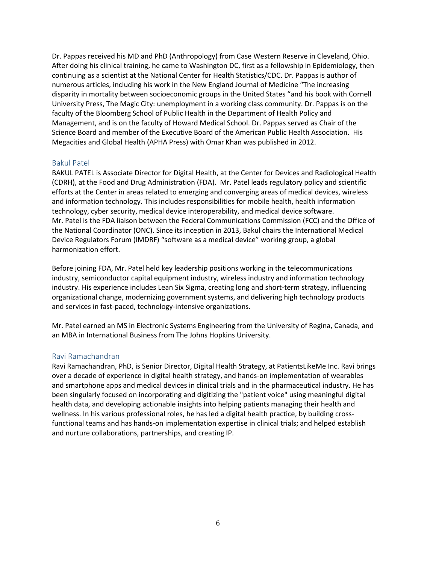Dr. Pappas received his MD and PhD (Anthropology) from Case Western Reserve in Cleveland, Ohio. After doing his clinical training, he came to Washington DC, first as a fellowship in Epidemiology, then continuing as a scientist at the National Center for Health Statistics/CDC. Dr. Pappas is author of numerous articles, including his work in the New England Journal of Medicine "The increasing disparity in mortality between socioeconomic groups in the United States "and his book with Cornell University Press, The Magic City: unemployment in a working class community. Dr. Pappas is on the faculty of the Bloomberg School of Public Health in the Department of Health Policy and Management, and is on the faculty of Howard Medical School. Dr. Pappas served as Chair of the Science Board and member of the Executive Board of the American Public Health Association. His Megacities and Global Health (APHA Press) with Omar Khan was published in 2012.

### Bakul Patel

BAKUL PATEL is Associate Director for Digital Health, at the Center for Devices and Radiological Health (CDRH), at the Food and Drug Administration (FDA). Mr. Patel leads regulatory policy and scientific efforts at the Center in areas related to emerging and converging areas of medical devices, wireless and information technology. This includes responsibilities for mobile health, health information technology, cyber security, medical device interoperability, and medical device software. Mr. Patel is the FDA liaison between the Federal Communications Commission (FCC) and the Office of the National Coordinator (ONC). Since its inception in 2013, Bakul chairs the International Medical Device Regulators Forum (IMDRF) "software as a medical device" working group, a global harmonization effort.

Before joining FDA, Mr. Patel held key leadership positions working in the telecommunications industry, semiconductor capital equipment industry, wireless industry and information technology industry. His experience includes Lean Six Sigma, creating long and short-term strategy, influencing organizational change, modernizing government systems, and delivering high technology products and services in fast-paced, technology-intensive organizations.

Mr. Patel earned an MS in Electronic Systems Engineering from the University of Regina, Canada, and an MBA in International Business from The Johns Hopkins University.

#### Ravi Ramachandran

Ravi Ramachandran, PhD, is Senior Director, Digital Health Strategy, at PatientsLikeMe Inc. Ravi brings over a decade of experience in digital health strategy, and hands-on implementation of wearables and smartphone apps and medical devices in clinical trials and in the pharmaceutical industry. He has been singularly focused on incorporating and digitizing the "patient voice" using meaningful digital health data, and developing actionable insights into helping patients managing their health and wellness. In his various professional roles, he has led a digital health practice, by building crossfunctional teams and has hands-on implementation expertise in clinical trials; and helped establish and nurture collaborations, partnerships, and creating IP.